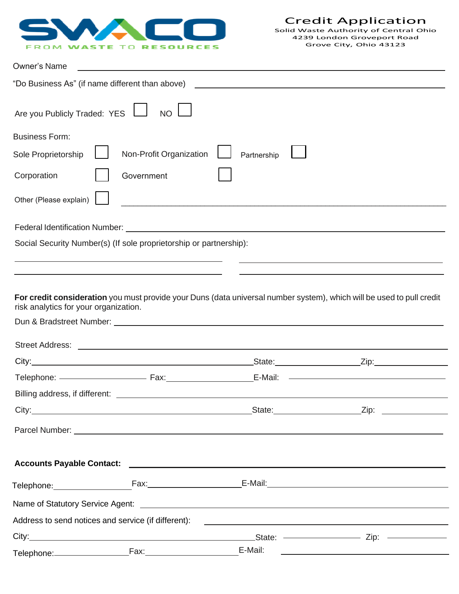

| <b>Owner's Name</b>                             |                                                                                                                      |                                                                                                                       |                                                                                                                      |
|-------------------------------------------------|----------------------------------------------------------------------------------------------------------------------|-----------------------------------------------------------------------------------------------------------------------|----------------------------------------------------------------------------------------------------------------------|
| "Do Business As" (if name different than above) |                                                                                                                      | <u> 1989 - Johann Barbara, martxa alemaniar argametra (h. 1989).</u>                                                  |                                                                                                                      |
| Are you Publicly Traded: YES                    | <b>NO</b>                                                                                                            |                                                                                                                       |                                                                                                                      |
| <b>Business Form:</b>                           |                                                                                                                      |                                                                                                                       |                                                                                                                      |
| Sole Proprietorship                             | Non-Profit Organization                                                                                              | Partnership                                                                                                           |                                                                                                                      |
| Corporation                                     | Government                                                                                                           |                                                                                                                       |                                                                                                                      |
| Other (Please explain)                          |                                                                                                                      | <u> 1989 - Johann Barbara, martxa alemaniar arg</u>                                                                   |                                                                                                                      |
|                                                 |                                                                                                                      |                                                                                                                       |                                                                                                                      |
|                                                 | Social Security Number(s) (If sole proprietorship or partnership):                                                   |                                                                                                                       |                                                                                                                      |
|                                                 | <u> 1989 - Johann Stein, marwolaethau a bhann an t-Amhain an t-Amhain an t-Amhain an t-Amhain an t-Amhain an t-A</u> |                                                                                                                       |                                                                                                                      |
|                                                 |                                                                                                                      |                                                                                                                       |                                                                                                                      |
| risk analytics for your organization.           |                                                                                                                      | For credit consideration you must provide your Duns (data universal number system), which will be used to pull credit |                                                                                                                      |
|                                                 |                                                                                                                      |                                                                                                                       |                                                                                                                      |
|                                                 |                                                                                                                      |                                                                                                                       |                                                                                                                      |
|                                                 |                                                                                                                      |                                                                                                                       |                                                                                                                      |
|                                                 |                                                                                                                      |                                                                                                                       | <u> 1989 - Johann Barn, mars eta bainar eta bainar eta baina eta baina eta baina eta baina eta baina eta baina e</u> |
| Billing address, if different:                  |                                                                                                                      |                                                                                                                       |                                                                                                                      |
|                                                 |                                                                                                                      |                                                                                                                       |                                                                                                                      |
|                                                 |                                                                                                                      |                                                                                                                       |                                                                                                                      |
|                                                 |                                                                                                                      |                                                                                                                       |                                                                                                                      |
|                                                 |                                                                                                                      |                                                                                                                       |                                                                                                                      |
|                                                 |                                                                                                                      |                                                                                                                       |                                                                                                                      |
|                                                 | Address to send notices and service (if different):                                                                  | <u> 1989 - Johann Harry Harry Harry Harry Harry Harry Harry Harry Harry Harry Harry Harry Harry Harry Harry Harry</u> |                                                                                                                      |
|                                                 |                                                                                                                      |                                                                                                                       |                                                                                                                      |
|                                                 |                                                                                                                      |                                                                                                                       | <u> 1989 - Johann Stein, mars an deus an deus Amerikaanse komme en de Fryske komme en oantale</u>                    |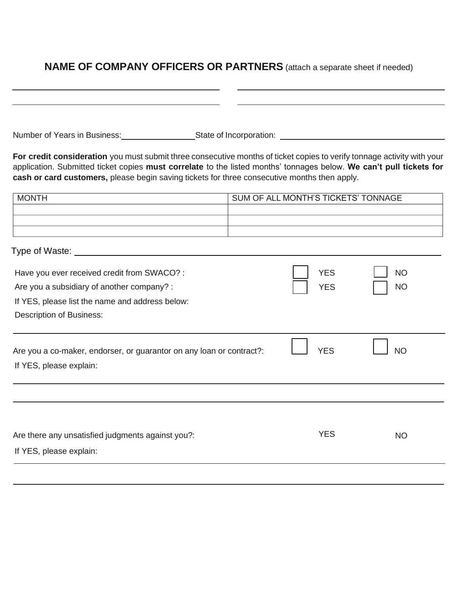#### **NAME OF COMPANY OFFICERS OR PARTNERS** (attach a separate sheet if needed)

| Number of Years in Business: | State of Incorporation: |
|------------------------------|-------------------------|
|------------------------------|-------------------------|

Type of Waste: <u>example and the set of the set of the set of the set of the set of the set of the set of the set of the set of the set of the set of the set of the set of the set of the set of the set of the set of the set</u>

**For credit consideration** you must submit three consecutive months of ticket copies to verify tonnage activity with your application. Submitted ticket copies **must correlate** to the listed months' tonnages below. **We can't pull tickets for cash or card customers,** please begin saving tickets for three consecutive months then apply.

| <b>MONTH</b> | SUM OF ALL MONTH'S TICKETS' TONNAGE |
|--------------|-------------------------------------|
|              |                                     |
|              |                                     |
|              |                                     |

| Have you ever received credit from SWACO? :<br>Are you a subsidiary of another company? :<br>If YES, please list the name and address below:<br><b>Description of Business:</b> | <b>YES</b><br><b>YES</b> | <b>NO</b><br><b>NO</b> |  |
|---------------------------------------------------------------------------------------------------------------------------------------------------------------------------------|--------------------------|------------------------|--|
| Are you a co-maker, endorser, or guarantor on any loan or contract?:<br>If YES, please explain:                                                                                 | <b>YES</b>               | <b>NO</b>              |  |
| Are there any unsatisfied judgments against you?:<br>If YES, please explain:                                                                                                    | <b>YES</b>               | <b>NO</b>              |  |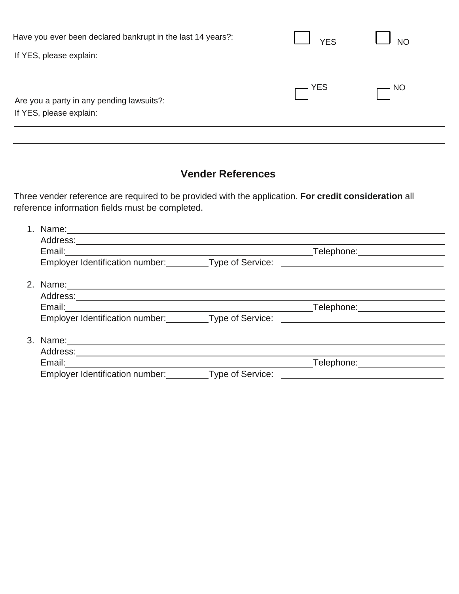| Have you ever been declared bankrupt in the last 14 years?:          | <b>YES</b> | <b>NO</b> |
|----------------------------------------------------------------------|------------|-----------|
| If YES, please explain:                                              |            |           |
| Are you a party in any pending lawsuits?:<br>If YES, please explain: | YES        | NO ר      |

## **Vender References**

Three vender reference are required to be provided with the application. **For credit consideration** all reference information fields must be completed.

| Name:                                            |                  |                       |
|--------------------------------------------------|------------------|-----------------------|
| Address:                                         |                  |                       |
| Email:                                           |                  | Telephone:            |
| <b>Employer Identification number:</b>           | Type of Service: |                       |
|                                                  |                  |                       |
|                                                  |                  |                       |
| Email:                                           |                  | Telephone: Telephone: |
| Employer Identification number: Type of Service: |                  |                       |
|                                                  |                  |                       |
| Address:                                         |                  |                       |
| Email:                                           |                  | Telephone:            |
| Employer Identification number: Type of Service: |                  |                       |
|                                                  |                  |                       |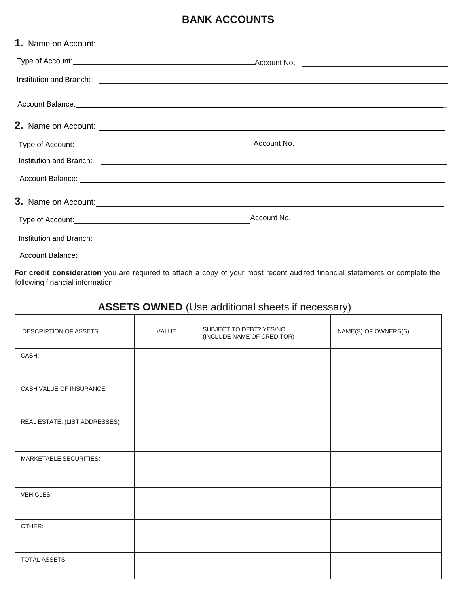#### **BANK ACCOUNTS**

|                                                                                                                        | Institution and Branch: <u>Conserversion and Branch Community of the State of Australian Community of the State of Branch Community of the State of Texas and Branch Community of the State of Texas and State of Texas and Stat</u> |  |
|------------------------------------------------------------------------------------------------------------------------|--------------------------------------------------------------------------------------------------------------------------------------------------------------------------------------------------------------------------------------|--|
|                                                                                                                        | Account Balance: <u>Account Balance:</u> Account Balance: Account Balance: Account Balance: Account Balance: Account Balance: Account Balance: Account Balance: Account Balance: Account Balance: Account Balance: Account Balance:  |  |
|                                                                                                                        |                                                                                                                                                                                                                                      |  |
|                                                                                                                        |                                                                                                                                                                                                                                      |  |
|                                                                                                                        |                                                                                                                                                                                                                                      |  |
|                                                                                                                        |                                                                                                                                                                                                                                      |  |
|                                                                                                                        | 3. Name on Account: <u>example and a series of the series of the series of the series of the series of the series of the series of the series of the series of the series of the series of the series of the series of the serie</u> |  |
|                                                                                                                        | Account No.                                                                                                                                                                                                                          |  |
|                                                                                                                        |                                                                                                                                                                                                                                      |  |
| Account Balance: <u>Account Balance:</u> Account Balance: Account Balance: Account Balance: Account Balance: Account B |                                                                                                                                                                                                                                      |  |

**For credit consideration** you are required to attach a copy of your most recent audited financial statements or complete the following financial information:

# **ASSETS OWNED** (Use additional sheets if necessary)

| DESCRIPTION OF ASSETS         | VALUE | SUBJECT TO DEBT? YES/NO<br>(INCLUDE NAME OF CREDITOR) | NAME(S) OF OWNERS(S) |  |
|-------------------------------|-------|-------------------------------------------------------|----------------------|--|
| CASH:                         |       |                                                       |                      |  |
| CASH VALUE OF INSURANCE:      |       |                                                       |                      |  |
| REAL ESTATE: (LIST ADDRESSES) |       |                                                       |                      |  |
| MARKETABLE SECURITIES:        |       |                                                       |                      |  |
| <b>VEHICLES:</b>              |       |                                                       |                      |  |
| OTHER:                        |       |                                                       |                      |  |
| TOTAL ASSETS:                 |       |                                                       |                      |  |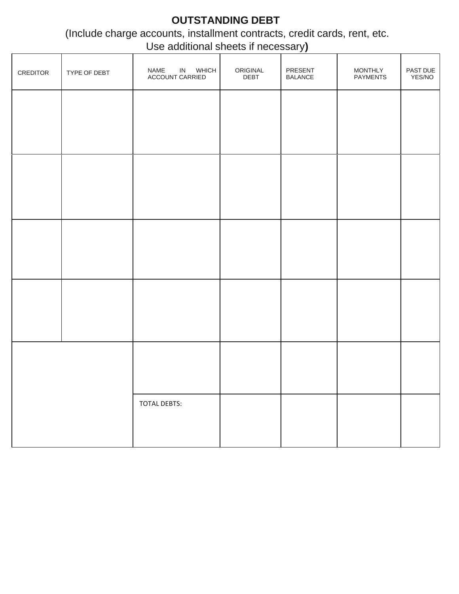## **OUTSTANDING DEBT**

(Include charge accounts, installment contracts, credit cards, rent, etc. Use additional sheets if necessary**)**

|          |              |                                     |                  | $\cdot$ $\cdot$           |                            |                    |
|----------|--------------|-------------------------------------|------------------|---------------------------|----------------------------|--------------------|
| CREDITOR | TYPE OF DEBT | IN WHICH<br>NAME<br>ACCOUNT CARRIED | ORIGINAL<br>DEBT | PRESENT<br><b>BALANCE</b> | MONTHLY<br><b>PAYMENTS</b> | PAST DUE<br>YES/NO |
|          |              |                                     |                  |                           |                            |                    |
|          |              |                                     |                  |                           |                            |                    |
|          |              |                                     |                  |                           |                            |                    |
|          |              |                                     |                  |                           |                            |                    |
|          |              |                                     |                  |                           |                            |                    |
|          |              |                                     |                  |                           |                            |                    |
|          |              |                                     |                  |                           |                            |                    |
|          |              |                                     |                  |                           |                            |                    |
|          |              |                                     |                  |                           |                            |                    |
|          |              |                                     |                  |                           |                            |                    |
|          |              | TOTAL DEBTS:                        |                  |                           |                            |                    |
|          |              |                                     |                  |                           |                            |                    |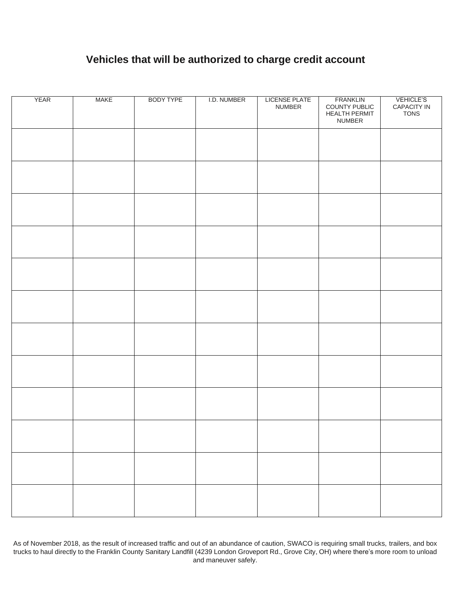## **Vehicles that will be authorized to charge credit account**

| <b>YEAR</b> | <b>MAKE</b> | <b>BODY TYPE</b> | I.D. NUMBER | <b>LICENSE PLATE</b><br>NUMBER | <b>FRANKLIN</b><br>COUNTY PUBLIC<br><b>HEALTH PERMIT</b><br>NUMBER | <b>VEHICLE'S</b><br>CAPACITY IN<br>TONS |
|-------------|-------------|------------------|-------------|--------------------------------|--------------------------------------------------------------------|-----------------------------------------|
|             |             |                  |             |                                |                                                                    |                                         |
|             |             |                  |             |                                |                                                                    |                                         |
|             |             |                  |             |                                |                                                                    |                                         |
|             |             |                  |             |                                |                                                                    |                                         |
|             |             |                  |             |                                |                                                                    |                                         |
|             |             |                  |             |                                |                                                                    |                                         |
|             |             |                  |             |                                |                                                                    |                                         |
|             |             |                  |             |                                |                                                                    |                                         |
|             |             |                  |             |                                |                                                                    |                                         |
|             |             |                  |             |                                |                                                                    |                                         |
|             |             |                  |             |                                |                                                                    |                                         |
|             |             |                  |             |                                |                                                                    |                                         |

As of November 2018, as the result of increased traffic and out of an abundance of caution, SWACO is requiring small trucks, trailers, and box trucks to haul directly to the Franklin County Sanitary Landfill (4239 London Groveport Rd., Grove City, OH) where there's more room to unload and maneuver safely.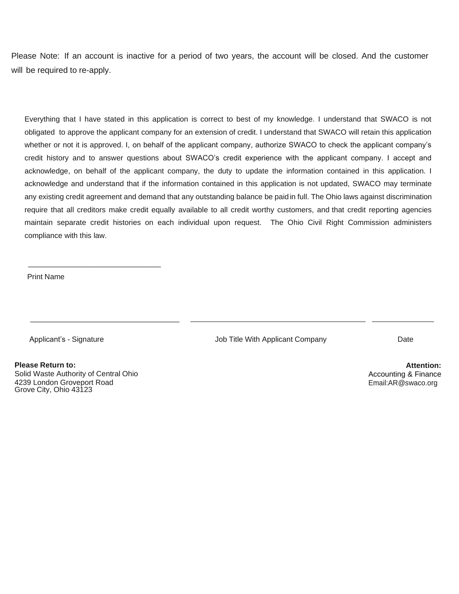Please Note: If an account is inactive for a period of two years, the account will be closed. And the customer will be required to re-apply.

Everything that I have stated in this application is correct to best of my knowledge. I understand that SWACO is not obligated to approve the applicant company for an extension of credit. I understand that SWACO will retain this application whether or not it is approved. I, on behalf of the applicant company, authorize SWACO to check the applicant company's credit history and to answer questions about SWACO's credit experience with the applicant company. I accept and acknowledge, on behalf of the applicant company, the duty to update the information contained in this application. I acknowledge and understand that if the information contained in this application is not updated, SWACO may terminate any existing credit agreement and demand that any outstanding balance be paid in full. The Ohio laws against discrimination require that all creditors make credit equally available to all credit worthy customers, and that credit reporting agencies maintain separate credit histories on each individual upon request. The Ohio Civil Right Commission administers compliance with this law.

Print Name

Applicant's - Signature **Company Company Company Company Company** Date Date

**Please Return to:** Solid Waste Authority of Central Ohio 4239 London Groveport Road Grove City, Ohio 43123

\_\_\_\_\_\_\_\_\_\_\_\_\_\_\_\_\_\_\_\_\_\_\_\_\_\_\_\_\_\_\_\_

\_\_\_\_\_\_\_\_\_\_\_\_\_\_\_\_\_\_\_\_\_\_\_\_\_\_\_\_\_\_\_\_\_\_\_\_

**Attention:** Accounting & Finance [Email:AR@swaco.org](mailto:AR@swaco.org)